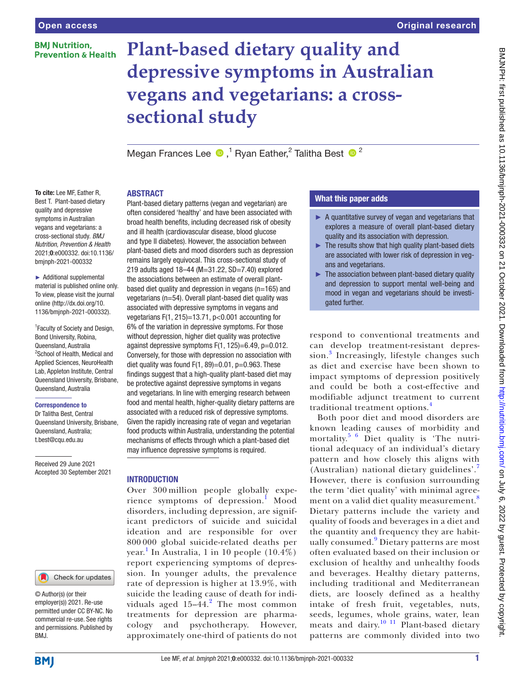### **BMI Nutrition. Prevention & Health**

# **Plant-based dietary quality and depressive symptoms in Australian vegans and vegetarians: a crosssectional study**

MeganFrances Lee  $\bullet$ ,<sup>1</sup> Ryan Eather,<sup>2</sup> Talitha Best  $\bullet$ <sup>2</sup>

### ABSTRACT

To cite: Lee ME, Eather R, Best T. Plant-based dietary quality and depressive symptoms in Australian vegans and vegetarians: a cross-sectional study. *BMJ Nutrition, Prevention & Health* 2021;0:e000332. doi:10.1136/ bmjnph-2021-000332

► Additional supplemental material is published online only. To view, please visit the journal online [\(http://dx.doi.org/10.](http://dx.doi.org/10.1136/bmjnph-2021-000332) [1136/bmjnph-2021-000332](http://dx.doi.org/10.1136/bmjnph-2021-000332)).

1 Faculty of Society and Design, Bond University, Robina, Queensland, Australia 2 School of Health, Medical and Applied Sciences, NeuroHealth Lab, Appleton Institute, Central Queensland University, Brisbane, Queensland, Australia

#### Correspondence to

Dr Talitha Best, Central Queensland University, Brisbane, Queensland, Australia; t.best@cqu.edu.au

Received 29 June 2021 Accepted 30 September 2021

#### Check for updates

© Author(s) (or their employer(s)) 2021. Re-use permitted under CC BY-NC. No commercial re-use. See rights and permissions. Published by BMJ.

Plant-based dietary patterns (vegan and vegetarian) are often considered 'healthy' and have been associated with broad health benefits, including decreased risk of obesity and ill health (cardiovascular disease, blood glucose and type II diabetes). However, the association between plant-based diets and mood disorders such as depression remains largely equivocal. This cross-sectional study of 219 adults aged 18–44 (M=31.22, SD=7.40) explored the associations between an estimate of overall plantbased diet quality and depression in vegans (n=165) and vegetarians (n=54). Overall plant-based diet quality was associated with depressive symptoms in vegans and vegetarians F(1, 215)=13.71, p<0.001 accounting for 6% of the variation in depressive symptoms. For those without depression, higher diet quality was protective against depressive symptoms F(1, 125)=6.49, p=0.012. Conversely, for those with depression no association with diet quality was found  $F(1, 89) = 0.01$ ,  $p = 0.963$ . These findings suggest that a high-quality plant-based diet may be protective against depressive symptoms in vegans and vegetarians. In line with emerging research between food and mental health, higher-quality dietary patterns are associated with a reduced risk of depressive symptoms. Given the rapidly increasing rate of vegan and vegetarian food products within Australia, understanding the potential mechanisms of effects through which a plant-based diet may influence depressive symptoms is required.

#### INTRODUCTION

Over 300 million people globally expe-rience symptoms of depression.<sup>[1](#page-6-0)</sup> Mood disorders, including depression, are significant predictors of suicide and suicidal ideation and are responsible for over 800 000 global suicide-related deaths per year. [1](#page-6-0) In Australia, 1 in 10 people (10.4%) report experiencing symptoms of depression. In younger adults, the prevalence rate of depression is higher at 13.9%, with suicide the leading cause of death for individuals aged  $15-44$ .<sup>[2](#page-6-1)</sup> The most common treatments for depression are pharmacology and psychotherapy. However, approximately one-third of patients do not

# What this paper adds

- ► A quantitative survey of vegan and vegetarians that explores a measure of overall plant-based dietary quality and its association with depression.
- $\blacktriangleright$  The results show that high quality plant-based diets are associated with lower risk of depression in vegans and vegetarians.
- $\blacktriangleright$  The association between plant-based dietary quality and depression to support mental well-being and mood in vegan and vegetarians should be investigated further.

respond to conventional treatments and can develop treatment-resistant depres-sion.<sup>[3](#page-6-2)</sup> Increasingly, lifestyle changes such as diet and exercise have been shown to impact symptoms of depression positively and could be both a cost-effective and modifiable adjunct treatment to current traditional treatment options.[4](#page-6-3)

Both poor diet and mood disorders are known leading causes of morbidity and mortality.<sup>[5 6](#page-6-4)</sup> Diet quality is 'The nutritional adequacy of an individual's dietary pattern and how closely this aligns with (Australian) national dietary guidelines'.[7](#page-6-5) However, there is confusion surrounding the term 'diet quality' with minimal agree-ment on a valid diet quality measurement.<sup>[8](#page-6-6)</sup> Dietary patterns include the variety and quality of foods and beverages in a diet and the quantity and frequency they are habit-ually consumed.<sup>[9](#page-6-7)</sup> Dietary patterns are most often evaluated based on their inclusion or exclusion of healthy and unhealthy foods and beverages. Healthy dietary patterns, including traditional and Mediterranean diets, are loosely defined as a healthy intake of fresh fruit, vegetables, nuts, seeds, legumes, whole grains, water, lean meats and dairy.<sup>[10 11](#page-6-8)</sup> Plant-based dietary patterns are commonly divided into two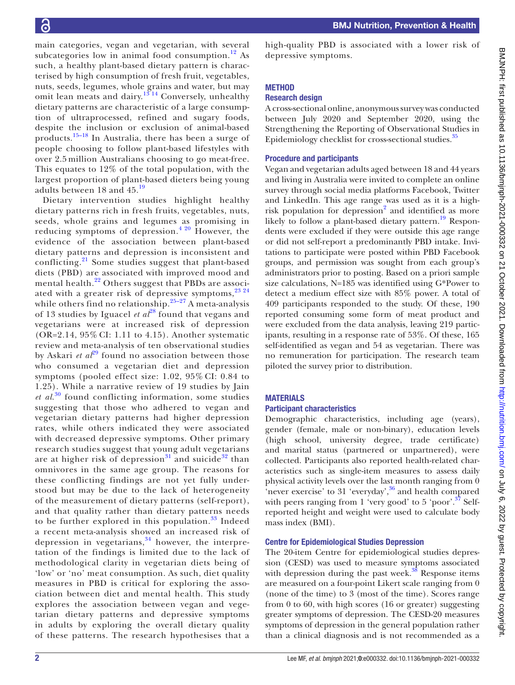main categories, vegan and vegetarian, with several subcategories low in animal food consumption.<sup>12</sup> As such, a healthy plant-based dietary pattern is characterised by high consumption of fresh fruit, vegetables, nuts, seeds, legumes, whole grains and water, but may omit lean meats and dairy.<sup>13 14</sup> Conversely, unhealthy dietary patterns are characteristic of a large consumption of ultraprocessed, refined and sugary foods, despite the inclusion or exclusion of animal-based products.[15–18](#page-6-11) In Australia, there has been a surge of people choosing to follow plant-based lifestyles with over 2.5 million Australians choosing to go meat-free. This equates to 12% of the total population, with the largest proportion of plant-based dieters being young adults between 18 and 45.[19](#page-6-12)

Dietary intervention studies highlight healthy dietary patterns rich in fresh fruits, vegetables, nuts, seeds, whole grains and legumes as promising in reducing symptoms of depression.<sup>4 20</sup> However, the evidence of the association between plant-based dietary patterns and depression is inconsistent and conflicting.<sup>[21](#page-6-13)</sup> Some studies suggest that plant-based diets (PBD) are associated with improved mood and mental health.[22](#page-6-14) Others suggest that PBDs are associated with a greater risk of depressive symptoms,  $23^{24}$ while others find no relationship. $25-27$  A meta-analysis of 13 studies by Iguacel *et al*[28](#page-6-17) found that vegans and vegetarians were at increased risk of depression (OR=2.14, 95% CI: 1.11 to 4.15). Another systematic review and meta-analysis of ten observational studies by Askari *et al*<sup>29</sup> found no association between those who consumed a vegetarian diet and depression symptoms (pooled effect size: 1.02, 95% CI: 0.84 to 1.25). While a narrative review of 19 studies by Jain *et al*. [30](#page-6-19) found conflicting information, some studies suggesting that those who adhered to vegan and vegetarian dietary patterns had higher depression rates, while others indicated they were associated with decreased depressive symptoms. Other primary research studies suggest that young adult vegetarians are at higher risk of depression<sup>[31](#page-6-20)</sup> and suicide<sup>32</sup> than omnivores in the same age group. The reasons for these conflicting findings are not yet fully understood but may be due to the lack of heterogeneity of the measurement of dietary patterns (self-report), and that quality rather than dietary patterns needs to be further explored in this population. $33$  Indeed a recent meta-analysis showed an increased risk of depression in vegetarians, $34$  however, the interpretation of the findings is limited due to the lack of methodological clarity in vegetarian diets being of 'low' or 'no' meat consumption. As such, diet quality measures in PBD is critical for exploring the association between diet and mental health. This study explores the association between vegan and vegetarian dietary patterns and depressive symptoms in adults by exploring the overall dietary quality of these patterns. The research hypothesises that a

high-quality PBD is associated with a lower risk of depressive symptoms.

# **METHOD**

# Research design

A cross-sectional online, anonymous survey was conducted between July 2020 and September 2020, using the Strengthening the Reporting of Observational Studies in Epidemiology checklist for cross-sectional studies.<sup>[35](#page-6-24)</sup>

# Procedure and participants

Vegan and vegetarian adults aged between 18 and 44 years and living in Australia were invited to complete an online survey through social media platforms Facebook, Twitter and LinkedIn. This age range was used as it is a high-risk population for depression<sup>[2](#page-6-1)</sup> and identified as more likely to follow a plant-based dietary pattern.<sup>19</sup> Respondents were excluded if they were outside this age range or did not self-report a predominantly PBD intake. Invitations to participate were posted within PBD Facebook groups, and permission was sought from each group's administrators prior to posting. Based on a priori sample size calculations, N=185 was identified using G\*Power to detect a medium effect size with 85% power. A total of 409 participants responded to the study. Of these, 190 reported consuming some form of meat product and were excluded from the data analysis, leaving 219 participants, resulting in a response rate of 53%. Of these, 165 self-identified as vegan and 54 as vegetarian. There was no remuneration for participation. The research team piloted the survey prior to distribution.

# MATERIALS

# Participant characteristics

Demographic characteristics, including age (years), gender (female, male or non-binary), education levels (high school, university degree, trade certificate) and marital status (partnered or unpartnered), were collected. Participants also reported health-related characteristics such as single-item measures to assess daily physical activity levels over the last month ranging from 0 'never exercise' to 31 'everyday',  $36$  and health compared with peers ranging from 1 'very good' to 5 'poor'.<sup>37</sup> Selfreported height and weight were used to calculate body mass index (BMI).

# Centre for Epidemiological Studies Depression

The 20-item Centre for epidemiological studies depression (CESD) was used to measure symptoms associated with depression during the past week. $38$  Response items are measured on a four-point Likert scale ranging from 0 (none of the time) to 3 (most of the time). Scores range from 0 to 60, with high scores (16 or greater) suggesting greater symptoms of depression. The CESD-20 measures symptoms of depression in the general population rather than a clinical diagnosis and is not recommended as a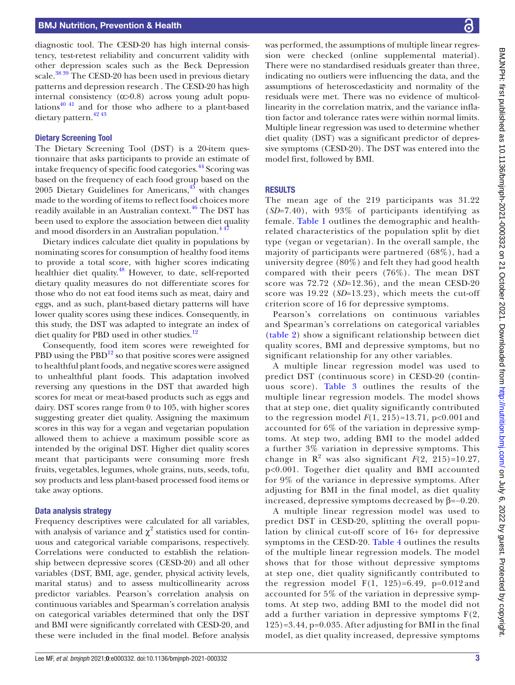diagnostic tool. The CESD-20 has high internal consistency, test-retest reliability and concurrent validity with other depression scales such as the Beck Depression scale.<sup>[38 39](#page-6-27)</sup> The CESD-20 has been used in previous dietary patterns and depression research . The CESD-20 has high internal consistency  $(\alpha > 0.8)$  across young adult populations $40$ <sup>41</sup> and for those who adhere to a plant-based dietary pattern.<sup>42</sup><sup>43</sup>

#### Dietary Screening Tool

The Dietary Screening Tool (DST) is a 20-item questionnaire that asks participants to provide an estimate of intake frequency of specific food categories.<sup>44</sup> Scoring was based on the frequency of each food group based on the 2005 Dietary Guidelines for Americans, $45$  with changes made to the wording of items to reflect food choices more readily available in an Australian context.<sup>[46](#page-6-32)</sup> The DST has been used to explore the association between diet quality and mood disorders in an Australian population.<sup>447</sup>

Dietary indices calculate diet quality in populations by nominating scores for consumption of healthy food items to provide a total score, with higher scores indicating healthier diet quality.<sup>[48](#page-6-33)</sup> However, to date, self-reported dietary quality measures do not differentiate scores for those who do not eat food items such as meat, dairy and eggs, and as such, plant-based dietary patterns will have lower quality scores using these indices. Consequently, in this study, the DST was adapted to integrate an index of diet quality for PBD used in other studies.<sup>[12](#page-6-9)</sup>

Consequently, food item scores were reweighted for PBD using the  $PBD<sup>12</sup>$  so that positive scores were assigned to healthful plant foods, and negative scores were assigned to unhealthful plant foods. This adaptation involved reversing any questions in the DST that awarded high scores for meat or meat-based products such as eggs and dairy. DST scores range from 0 to 105, with higher scores suggesting greater diet quality. Assigning the maximum scores in this way for a vegan and vegetarian population allowed them to achieve a maximum possible score as intended by the original DST. Higher diet quality scores meant that participants were consuming more fresh fruits, vegetables, legumes, whole grains, nuts, seeds, tofu, soy products and less plant-based processed food items or take away options.

#### Data analysis strategy

Frequency descriptives were calculated for all variables, with analysis of variance and  $\chi^2$  statistics used for continuous and categorical variable comparisons, respectively. Correlations were conducted to establish the relationship between depressive scores (CESD-20) and all other variables (DST, BMI, age, gender, physical activity levels, marital status) and to assess multicollinearity across predictor variables. Pearson's correlation analysis on continuous variables and Spearman's correlation analysis on categorical variables determined that only the DST and BMI were significantly correlated with CESD-20, and these were included in the final model. Before analysis

was performed, the assumptions of multiple linear regression were checked ([online supplemental material\)](https://dx.doi.org/10.1136/bmjnph-2021-000332). There were no standardised residuals greater than three, indicating no outliers were influencing the data, and the assumptions of heteroscedasticity and normality of the residuals were met. There was no evidence of multicollinearity in the correlation matrix, and the variance inflation factor and tolerance rates were within normal limits. Multiple linear regression was used to determine whether diet quality (DST) was a significant predictor of depressive symptoms (CESD-20). The DST was entered into the model first, followed by BMI.

#### **RESULTS**

The mean age of the 219 participants was 31.22 (*SD*=7.40), with 93% of participants identifying as female. [Table](#page-3-0) 1 outlines the demographic and healthrelated characteristics of the population split by diet type (vegan or vegetarian). In the overall sample, the majority of participants were partnered (68%), had a university degree (80%) and felt they had good health compared with their peers (76%). The mean DST score was 72.72 (*SD*=12.36), and the mean CESD-20 score was 19.22 (*SD*=13.23), which meets the cut-off criterion score of 16 for depressive symptoms.

Pearson's correlations on continuous variables and Spearman's correlations on categorical variables ([table](#page-3-1) 2) show a significant relationship between diet quality scores, BMI and depressive symptoms, but no significant relationship for any other variables.

A multiple linear regression model was used to predict DST (continuous score) in CESD-20 (continuous score). [Table](#page-4-0) 3 outlines the results of the multiple linear regression models. The model shows that at step one, diet quality significantly contributed to the regression model  $F(1, 215) = 13.71$ , p<0.001 and accounted for 6% of the variation in depressive symptoms. At step two, adding BMI to the model added a further 3% variation in depressive symptoms. This change in  $\mathbb{R}^2$  was also significant  $F(2, 215)=10.27$ , p<0.001. Together diet quality and BMI accounted for 9% of the variance in depressive symptoms. After adjusting for BMI in the final model, as diet quality increased, depressive symptoms decreased by β=−0.20.

A multiple linear regression model was used to predict DST in CESD-20, splitting the overall population by clinical cut-off score of 16+ for depressive symptoms in the CESD-20. [Table](#page-4-1) 4 outlines the results of the multiple linear regression models. The model shows that for those without depressive symptoms at step one, diet quality significantly contributed to the regression model  $F(1, 125)=6.49$ ,  $p=0.012$  and accounted for 5% of the variation in depressive symptoms. At step two, adding BMI to the model did not add a further variation in depressive symptoms F(2, 125)=3.44, p=0.035. After adjusting for BMI in the final model, as diet quality increased, depressive symptoms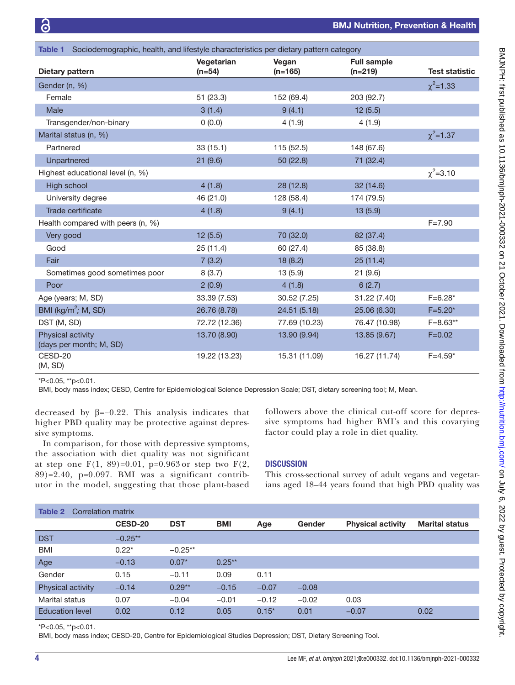<span id="page-3-0"></span>

| Sociodemographic, health, and lifestyle characteristics per dietary pattern category<br>Table 1 |                        |                    |                                 |                       |  |  |
|-------------------------------------------------------------------------------------------------|------------------------|--------------------|---------------------------------|-----------------------|--|--|
| Dietary pattern                                                                                 | Vegetarian<br>$(n=54)$ | Vegan<br>$(n=165)$ | <b>Full sample</b><br>$(n=219)$ | <b>Test statistic</b> |  |  |
| Gender (n, %)                                                                                   |                        |                    |                                 | $\chi^2$ =1.33        |  |  |
| Female                                                                                          | 51 (23.3)              | 152 (69.4)         | 203 (92.7)                      |                       |  |  |
| Male                                                                                            | 3(1.4)                 | 9(4.1)             | 12(5.5)                         |                       |  |  |
| Transgender/non-binary                                                                          | 0(0.0)                 | 4(1.9)             | 4(1.9)                          |                       |  |  |
| Marital status (n, %)                                                                           |                        |                    |                                 | $\chi^2$ =1.37        |  |  |
| Partnered                                                                                       | 33(15.1)               | 115 (52.5)         | 148 (67.6)                      |                       |  |  |
| Unpartnered                                                                                     | 21(9.6)                | 50 (22.8)          | 71 (32.4)                       |                       |  |  |
| Highest educational level (n, %)                                                                |                        |                    |                                 | $\chi^2$ =3.10        |  |  |
| High school                                                                                     | 4(1.8)                 | 28 (12.8)          | 32(14.6)                        |                       |  |  |
| University degree                                                                               | 46 (21.0)              | 128 (58.4)         | 174 (79.5)                      |                       |  |  |
| Trade certificate                                                                               | 4(1.8)                 | 9(4.1)             | 13(5.9)                         |                       |  |  |
| Health compared with peers (n, %)                                                               |                        |                    |                                 | $F = 7.90$            |  |  |
| Very good                                                                                       | 12(5.5)                | 70 (32.0)          | 82 (37.4)                       |                       |  |  |
| Good                                                                                            | 25(11.4)               | 60 (27.4)          | 85 (38.8)                       |                       |  |  |
| Fair                                                                                            | 7(3.2)                 | 18(8.2)            | 25(11.4)                        |                       |  |  |
| Sometimes good sometimes poor                                                                   | 8(3.7)                 | 13(5.9)            | 21(9.6)                         |                       |  |  |
| Poor                                                                                            | 2(0.9)                 | 4(1.8)             | 6(2.7)                          |                       |  |  |
| Age (years; M, SD)                                                                              | 33.39 (7.53)           | 30.52 (7.25)       | 31.22 (7.40)                    | $F = 6.28*$           |  |  |
| BMI ( $kg/m^2$ ; M, SD)                                                                         | 26.76 (8.78)           | 24.51 (5.18)       | 25.06 (6.30)                    | $F = 5.20*$           |  |  |
| DST (M, SD)                                                                                     | 72.72 (12.36)          | 77.69 (10.23)      | 76.47 (10.98)                   | $F = 8.63**$          |  |  |
| Physical activity<br>(days per month; M, SD)                                                    | 13.70 (8.90)           | 13.90 (9.94)       | 13.85 (9.67)                    | $F = 0.02$            |  |  |
| CESD-20<br>(M, SD)                                                                              | 19.22 (13.23)          | 15.31 (11.09)      | 16.27 (11.74)                   | $F = 4.59*$           |  |  |

\*P<0.05, \*\*p<0.01.

BMI, body mass index; CESD, Centre for Epidemiological Science Depression Scale; DST, dietary screening tool; M, Mean.

decreased by  $\beta = -0.22$ . This analysis indicates that higher PBD quality may be protective against depressive symptoms.

In comparison, for those with depressive symptoms, the association with diet quality was not significant at step one F(1, 89)=0.01, p=0.963 or step two F(2,  $89)=2.40$ ,  $p=0.097$ . BMI was a significant contributor in the model, suggesting that those plant-based followers above the clinical cut-off score for depressive symptoms had higher BMI's and this covarying factor could play a role in diet quality.

# **DISCUSSION**

This cross-sectional survey of adult vegans and vegetarians aged 18–44 years found that high PBD quality was

<span id="page-3-1"></span>

| Table 2<br>Correlation matrix |           |            |            |         |         |                          |                       |
|-------------------------------|-----------|------------|------------|---------|---------|--------------------------|-----------------------|
|                               | CESD-20   | <b>DST</b> | <b>BMI</b> | Age     | Gender  | <b>Physical activity</b> | <b>Marital status</b> |
| <b>DST</b>                    | $-0.25**$ |            |            |         |         |                          |                       |
| <b>BMI</b>                    | $0.22*$   | $-0.25**$  |            |         |         |                          |                       |
| Age                           | $-0.13$   | $0.07*$    | $0.25**$   |         |         |                          |                       |
| Gender                        | 0.15      | $-0.11$    | 0.09       | 0.11    |         |                          |                       |
| <b>Physical activity</b>      | $-0.14$   | $0.29**$   | $-0.15$    | $-0.07$ | $-0.08$ |                          |                       |
| Marital status                | 0.07      | $-0.04$    | $-0.01$    | $-0.12$ | $-0.02$ | 0.03                     |                       |
| <b>Education level</b>        | 0.02      | 0.12       | 0.05       | $0.15*$ | 0.01    | $-0.07$                  | 0.02                  |

\*P<0.05, \*\*p<0.01.

BMI, body mass index; CESD-20, Centre for Epidemiological Studies Depression; DST, Dietary Screening Tool.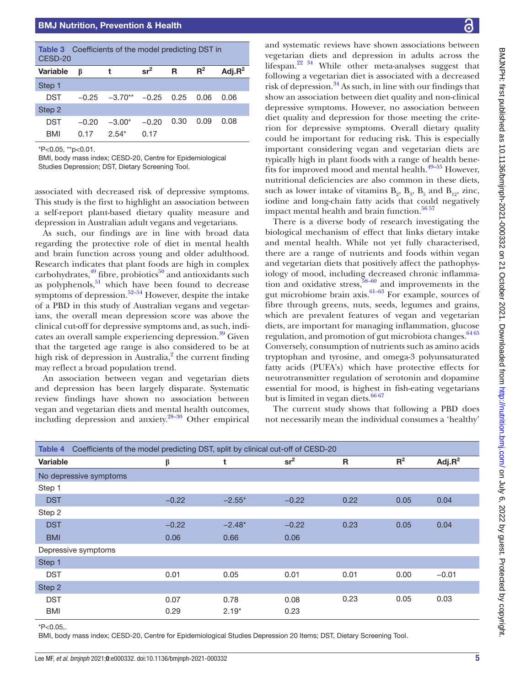<span id="page-4-0"></span>

| <b>Table 3</b> Coefficients of the model predicting DST in<br>CESD-20 |         |           |         |      |       |            |  |
|-----------------------------------------------------------------------|---------|-----------|---------|------|-------|------------|--|
| Variable                                                              | ß       | t         | $sr^2$  | R    | $R^2$ | Adj. $R^2$ |  |
| Step 1                                                                |         |           |         |      |       |            |  |
| <b>DST</b>                                                            | $-0.25$ | $-3.70**$ | $-0.25$ | 0.25 | 0.06  | 0.06       |  |
| Step 2                                                                |         |           |         |      |       |            |  |
| <b>DST</b>                                                            | $-0.20$ | $-3.00*$  | $-0.20$ | 0.30 | 0.09  | 0.08       |  |
| <b>BMI</b>                                                            | በ 17    | $2.54*$   | 0.17    |      |       |            |  |

\*P<0.05, \*\*p<0.01.

BMI, body mass index; CESD-20, Centre for Epidemiological Studies Depression; DST, Dietary Screening Tool.

associated with decreased risk of depressive symptoms. This study is the first to highlight an association between a self-report plant-based dietary quality measure and depression in Australian adult vegans and vegetarians.

As such, our findings are in line with broad data regarding the protective role of diet in mental health and brain function across young and older adulthood. Research indicates that plant foods are high in complex carbohydrates, $49$  fibre, probiotics $50$  and antioxidants such as polyphenols, $51$  which have been found to decrease symptoms of depression. $52-54$  However, despite the intake of a PBD in this study of Australian vegans and vegetarians, the overall mean depression score was above the clinical cut-off for depressive symptoms and, as such, indicates an overall sample experiencing depression.<sup>39</sup> Given that the targeted age range is also considered to be at high risk of depression in Australia,<sup>2</sup> the current finding may reflect a broad population trend.

An association between vegan and vegetarian diets and depression has been largely disparate. Systematic review findings have shown no association between vegan and vegetarian diets and mental health outcomes, including depression and anxiety. $28-30$  Other empirical

and systematic reviews have shown associations between vegetarian diets and depression in adults across the lifespan[.22 34](#page-6-14) While other meta-analyses suggest that following a vegetarian diet is associated with a decreased risk of depression. $34$  As such, in line with our findings that show an association between diet quality and non-clinical depressive symptoms. However, no association between diet quality and depression for those meeting the criterion for depressive symptoms. Overall dietary quality could be important for reducing risk. This is especially important considering vegan and vegetarian diets are typically high in plant foods with a range of health benefits for improved mood and mental health.<sup>49-55</sup> However, nutritional deficiencies are also common in these diets, such as lower intake of vitamins  $B_2$ ,  $B_3$ ,  $B_5$  and  $B_{12}$ , zinc, iodine and long-chain fatty acids that could negatively impact mental health and brain function.<sup>[56 57](#page-7-2)</sup>

There is a diverse body of research investigating the biological mechanism of effect that links dietary intake and mental health. While not yet fully characterised, there are a range of nutrients and foods within vegan and vegetarian diets that positively affect the pathophysiology of mood, including decreased chronic inflammation and oxidative stress,  $\frac{58-60}{2}$  and improvements in the gut microbiome brain  $axis$ .<sup>61–63</sup> For example, sources of fibre through greens, nuts, seeds, legumes and grains, which are prevalent features of vegan and vegetarian diets, are important for managing inflammation, glucose regulation, and promotion of gut microbiota changes.<sup>[64 65](#page-7-5)</sup> Conversely, consumption of nutrients such as amino acids tryptophan and tyrosine, and omega-3 polyunsaturated fatty acids (PUFA's) which have protective effects for neurotransmitter regulation of serotonin and dopamine essential for mood, is highest in fish-eating vegetarians but is limited in vegan diets.<sup>[66 67](#page-7-6)</sup>

The current study shows that following a PBD does not necessarily mean the individual consumes a 'healthy'

<span id="page-4-1"></span>

| Coefficients of the model predicting DST, split by clinical cut-off of CESD-20<br>Table 4 |                        |         |          |                 |      |       |            |
|-------------------------------------------------------------------------------------------|------------------------|---------|----------|-----------------|------|-------|------------|
| <b>Variable</b>                                                                           |                        | β       | t        | sr <sup>2</sup> | R    | $R^2$ | Adj. $R^2$ |
|                                                                                           | No depressive symptoms |         |          |                 |      |       |            |
| Step 1                                                                                    |                        |         |          |                 |      |       |            |
| <b>DST</b>                                                                                |                        | $-0.22$ | $-2.55*$ | $-0.22$         | 0.22 | 0.05  | 0.04       |
| Step 2                                                                                    |                        |         |          |                 |      |       |            |
| <b>DST</b>                                                                                |                        | $-0.22$ | $-2.48*$ | $-0.22$         | 0.23 | 0.05  | 0.04       |
| <b>BMI</b>                                                                                |                        | 0.06    | 0.66     | 0.06            |      |       |            |
|                                                                                           | Depressive symptoms    |         |          |                 |      |       |            |
| Step 1                                                                                    |                        |         |          |                 |      |       |            |
| <b>DST</b>                                                                                |                        | 0.01    | 0.05     | 0.01            | 0.01 | 0.00  | $-0.01$    |
| Step 2                                                                                    |                        |         |          |                 |      |       |            |
| <b>DST</b>                                                                                |                        | 0.07    | 0.78     | 0.08            | 0.23 | 0.05  | 0.03       |
| <b>BMI</b>                                                                                |                        | 0.29    | $2.19*$  | 0.23            |      |       |            |

 $*P<0.05$ .

BMI, body mass index; CESD-20, Centre for Epidemiological Studies Depression 20 Items; DST, Dietary Screening Tool.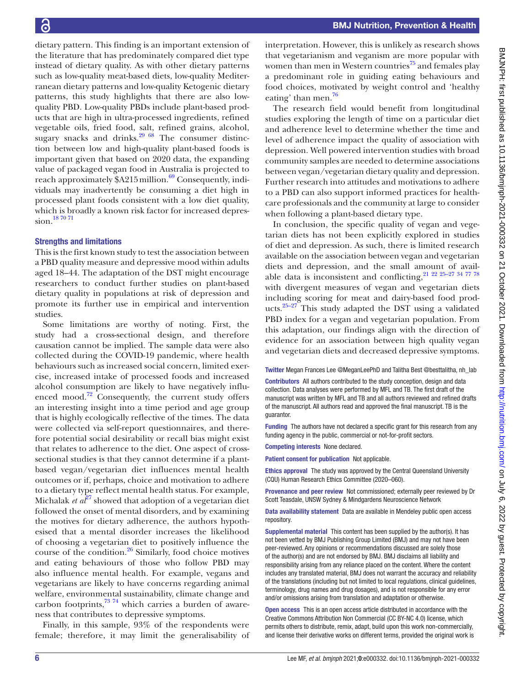dietary pattern. This finding is an important extension of the literature that has predominately compared diet type instead of dietary quality. As with other dietary patterns such as low-quality meat-based diets, low-quality Mediterranean dietary patterns and low-quality Ketogenic dietary patterns, this study highlights that there are also lowquality PBD. Low-quality PBDs include plant-based products that are high in ultra-processed ingredients, refined vegetable oils, fried food, salt, refined grains, alcohol, sugary snacks and drinks. $29\,68$  The consumer distinction between low and high-quality plant-based foods is important given that based on 2020 data, the expanding value of packaged vegan food in Australia is projected to reach approximately \$A215 million.<sup>69</sup> Consequently, individuals may inadvertently be consuming a diet high in processed plant foods consistent with a low diet quality, which is broadly a known risk factor for increased depres- $sion.<sup>18 70 71</sup>$  $sion.<sup>18 70 71</sup>$  $sion.<sup>18 70 71</sup>$ 

### Strengths and limitations

This is the first known study to test the association between a PBD quality measure and depressive mood within adults aged 18–44. The adaptation of the DST might encourage researchers to conduct further studies on plant-based dietary quality in populations at risk of depression and promote its further use in empirical and intervention studies.

Some limitations are worthy of noting. First, the study had a cross-sectional design, and therefore causation cannot be implied. The sample data were also collected during the COVID-19 pandemic, where health behaviours such as increased social concern, limited exercise, increased intake of processed foods and increased alcohol consumption are likely to have negatively influenced mood.<sup>72</sup> Consequently, the current study offers an interesting insight into a time period and age group that is highly ecologically reflective of the times. The data were collected via self-report questionnaires, and therefore potential social desirability or recall bias might exist that relates to adherence to the diet. One aspect of crosssectional studies is that they cannot determine if a plantbased vegan/vegetarian diet influences mental health outcomes or if, perhaps, choice and motivation to adhere to a dietary type reflect mental health status. For example, Michalak *et*  $a^{\beta}$  showed that adoption of a vegetarian diet followed the onset of mental disorders, and by examining the motives for dietary adherence, the authors hypothesised that a mental disorder increases the likelihood of choosing a vegetarian diet to positively influence the course of the condition.[26](#page-6-39) Similarly, food choice motives and eating behaviours of those who follow PBD may also influence mental health. For example, vegans and vegetarians are likely to have concerns regarding animal welfare, environmental sustainability, climate change and carbon footprints, $7374$  which carries a burden of awareness that contributes to depressive symptoms.

Finally, in this sample, 93% of the respondents were female; therefore, it may limit the generalisability of

interpretation. However, this is unlikely as research shows that vegetarianism and veganism are more popular with women than men in Western countries<sup> $75$ </sup> and females play a predominant role in guiding eating behaviours and food choices, motivated by weight control and 'healthy eating' than men.<sup>76</sup>

The research field would benefit from longitudinal studies exploring the length of time on a particular diet and adherence level to determine whether the time and level of adherence impact the quality of association with depression. Well powered intervention studies with broad community samples are needed to determine associations between vegan/vegetarian dietary quality and depression. Further research into attitudes and motivations to adhere to a PBD can also support informed practices for healthcare professionals and the community at large to consider when following a plant-based dietary type.

In conclusion, the specific quality of vegan and vegetarian diets has not been explicitly explored in studies of diet and depression. As such, there is limited research available on the association between vegan and vegetarian diets and depression, and the small amount of available data is inconsistent and conflicting,  $21$   $22$   $25-27$   $34$   $77$   $78$ with divergent measures of vegan and vegetarian diets including scoring for meat and dairy-based food products. $25-27$  This study adapted the DST using a validated PBD index for a vegan and vegetarian population. From this adaptation, our findings align with the direction of evidence for an association between high quality vegan and vegetarian diets and decreased depressive symptoms.

Twitter Megan Frances Lee [@MeganLeePhD](https://twitter.com/MeganLeePhD) and Talitha Best [@besttalitha, nh\\_lab](https://twitter.com/besttalitha, nh_lab)

Contributors All authors contributed to the study conception, design and data collection. Data analyses were performed by MFL and TB. The first draft of the manuscript was written by MFL and TB and all authors reviewed and refined drafts of the manuscript. All authors read and approved the final manuscript. TB is the guarantor.

Funding The authors have not declared a specific grant for this research from any funding agency in the public, commercial or not-for-profit sectors.

Competing interests None declared.

Patient consent for publication Not applicable.

Ethics approval The study was approved by the Central Queensland University (CQU) Human Research Ethics Committee (2020–060).

Provenance and peer review Not commissioned; externally peer reviewed by Dr Scott Teasdale, UNSW Sydney & Mindgardens Neuroscience Network

Data availability statement Data are available in Mendeley public open access repository.

Supplemental material This content has been supplied by the author(s). It has not been vetted by BMJ Publishing Group Limited (BMJ) and may not have been peer-reviewed. Any opinions or recommendations discussed are solely those of the author(s) and are not endorsed by BMJ. BMJ disclaims all liability and responsibility arising from any reliance placed on the content. Where the content includes any translated material, BMJ does not warrant the accuracy and reliability of the translations (including but not limited to local regulations, clinical guidelines, terminology, drug names and drug dosages), and is not responsible for any error and/or omissions arising from translation and adaptation or otherwise.

Open access This is an open access article distributed in accordance with the Creative Commons Attribution Non Commercial (CC BY-NC 4.0) license, which permits others to distribute, remix, adapt, build upon this work non-commercially, and license their derivative works on different terms, provided the original work is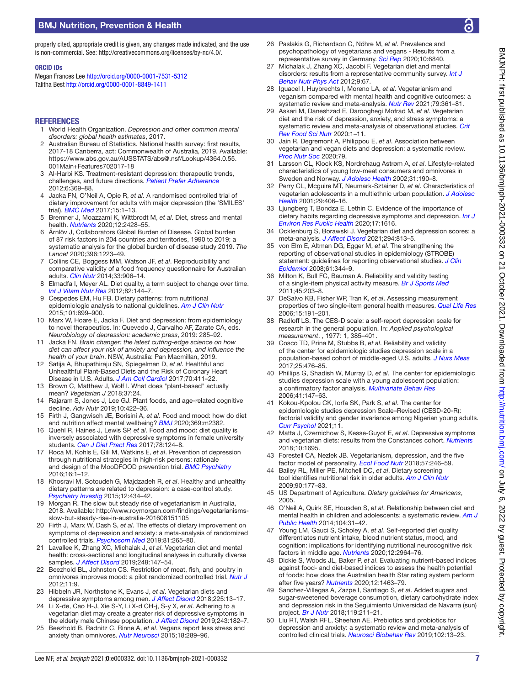# BMJ Nutrition, Prevention & Health

#### ORCID iDs

Megan Frances Lee<http://orcid.org/0000-0001-7531-5312> Talitha Best <http://orcid.org/0000-0001-8849-1411>

#### **REFERENCES**

- <span id="page-6-0"></span>1 World Health Organization. *Depression and other common mental disorders: global health estimates*, 2017.
- <span id="page-6-1"></span>2 Australian Bureau of Statistics. National health survey: first results, 2017-18 Canberra, act: Commonwealth of Australia, 2019. Available: [https://www.abs.gov.au/AUSSTATS/abs@.nsf/Lookup/4364.0.55.](https://www.abs.gov.au/AUSSTATS/abs@.nsf/Lookup/4364.0.55.001Main+Features702017-18) [001Main+Features702017-18](https://www.abs.gov.au/AUSSTATS/abs@.nsf/Lookup/4364.0.55.001Main+Features702017-18)
- <span id="page-6-2"></span>3 Al-Harbi KS. Treatment-resistant depression: therapeutic trends, challenges, and future directions. *[Patient Prefer Adherence](http://dx.doi.org/10.2147/PPA.S29716)* 2012;6:369–88.
- <span id="page-6-3"></span>4 Jacka FN, O'Neil A, Opie R, *et al*. A randomised controlled trial of dietary improvement for adults with major depression (the 'SMILES' trial). *[BMC Med](http://dx.doi.org/10.1186/s12916-017-0791-y)* 2017;15:1–13.
- <span id="page-6-4"></span>5 Bremner J, Moazzami K, Wittbrodt M, *et al*. Diet, stress and mental health. *[Nutrients](http://dx.doi.org/10.3390/nu12082428)* 2020;12:2428–55.
- 6 Ärnlöv J, Collaborators Global Burden of Disease. Global burden of 87 risk factors in 204 countries and territories, 1990 to 2019; a systematic analysis for the global burden of disease study 2019. *The Lancet* 2020;396:1223–49.
- <span id="page-6-5"></span>7 Collins CE, Boggess MM, Watson JF, *et al*. Reproducibility and comparative validity of a food frequency questionnaire for Australian adults. *[Clin Nutr](http://dx.doi.org/10.1016/j.clnu.2013.09.015)* 2014;33:906–14.
- <span id="page-6-6"></span>8 Elmadfa I, Meyer AL. Diet quality, a term subject to change over time. *[Int J Vitam Nutr Res](http://dx.doi.org/10.1024/0300-9831/a000104)* 2012;82:144–7.
- <span id="page-6-7"></span>9 Cespedes EM, Hu FB. Dietary patterns: from nutritional epidemiologic analysis to national guidelines. *[Am J Clin Nutr](http://dx.doi.org/10.3945/ajcn.115.110213)* 2015;101:899–900.
- <span id="page-6-8"></span>10 Marx W, Hoare E, Jacka F. Diet and depression: from epidemiology to novel therapeutics. In: Quevedo J, Carvalho AF, Zarate CA, eds. *Neurobiology of depression: academic press*, 2019: 285–92.
- 11 Jacka FN. *Brain changer: the latest cutting-edge science on how diet can affect your risk of anxiety and depression, and influence the health of your brain*. NSW, Australia: Pan Macmillan, 2019.
- <span id="page-6-9"></span>12 Satija A, Bhupathiraju SN, Spiegelman D, *et al*. Healthful and Unhealthful Plant-Based Diets and the Risk of Coronary Heart Disease in U.S. Adults. *[J Am Coll Cardiol](http://dx.doi.org/10.1016/j.jacc.2017.05.047)* 2017;70:411–22.
- <span id="page-6-10"></span>13 Brown C, Matthew J, Wolf I. What does "plant-based" actually mean? *Vegetarian J* 2018;37:24.
- 14 Rajaram S, Jones J, Lee GJ. Plant foods, and age-related cognitive decline. *Adv Nutr* 2019;10:422–36.
- <span id="page-6-11"></span>15 Firth J, Gangwisch JE, Borisini A, *et al*. Food and mood: how do diet and nutrition affect mental wellbeing? *[BMJ](http://dx.doi.org/10.1136/bmj.m2382)* 2020;369:m2382.
- 16 Quehl R, Haines J, Lewis SP, *et al*. Food and mood: diet quality is inversely associated with depressive symptoms in female university students. *[Can J Diet Pract Res](http://dx.doi.org/10.3148/cjdpr-2017-007)* 2017;78:124–8.
- 17 Roca M, Kohls E, Gili M, Watkins E, *et al*. Prevention of depression through nutritional strategies in high-risk persons: rationale and design of the MooDFOOD prevention trial. *[BMC Psychiatry](http://dx.doi.org/10.1186/s12888-016-0900-z)* 2016;16:1–12.
- <span id="page-6-37"></span>18 Khosravi M, Sotoudeh G, Majdzadeh R, *et al*. Healthy and unhealthy dietary patterns are related to depression: a case-control study. *[Psychiatry Investig](http://dx.doi.org/10.4306/pi.2015.12.4.434)* 2015;12:434–42.
- <span id="page-6-12"></span>19 Morgan R. The slow but steady rise of vegetarianism in Australia, 2018. Available: [http://www.roymorgan.com/findings/vegetarianisms](http://www.roymorgan.com/findings/vegetarianisms-slow-but-steady-rise-in-australia-201608151105)[slow-but-steady-rise-in-australia-201608151105](http://www.roymorgan.com/findings/vegetarianisms-slow-but-steady-rise-in-australia-201608151105)
- 20 Firth J, Marx W, Dash S, *et al*. The effects of dietary improvement on symptoms of depression and anxiety: a meta-analysis of randomized controlled trials. *[Psychosom Med](http://dx.doi.org/10.1097/PSY.0000000000000673)* 2019;81:265–80.
- <span id="page-6-13"></span>21 Lavallee K, Zhang XC, Michalak J, *et al*. Vegetarian diet and mental health: cross-sectional and longitudinal analyses in culturally diverse samples. *[J Affect Disord](http://dx.doi.org/10.1016/j.jad.2019.01.035)* 2019;248:147–54.
- <span id="page-6-14"></span>22 Beezhold BL, Johnston CS. Restriction of meat, fish, and poultry in omnivores improves mood: a pilot randomized controlled trial. *[Nutr J](http://dx.doi.org/10.1186/1475-2891-11-9)* 2012;11:9.
- <span id="page-6-15"></span>23 Hibbeln JR, Northstone K, Evans J, *et al*. Vegetarian diets and depressive symptoms among men. *[J Affect Disord](http://dx.doi.org/10.1016/j.jad.2017.07.051)* 2018;225:13–17.
- 24 Li X-de, Cao H-J, Xie S-Y, Li X-d CH-j, S-y X, *et al*. Adhering to a vegetarian diet may create a greater risk of depressive symptoms in the elderly male Chinese population. *[J Affect Disord](http://dx.doi.org/10.1016/j.jad.2018.09.033)* 2019;243:182–7.
- <span id="page-6-16"></span>25 Beezhold B, Radnitz C, Rinne A, *et al*. Vegans report less stress and anxiety than omnivores. *[Nutr Neurosci](http://dx.doi.org/10.1179/1476830514Y.0000000164)* 2015;18:289–96.
- <span id="page-6-39"></span>26 Paslakis G, Richardson C, Nöhre M, *et al*. Prevalence and psychopathology of vegetarians and vegans - Results from a representative survey in Germany. *[Sci Rep](http://dx.doi.org/10.1038/s41598-020-63910-y)* 2020;10:6840.
- <span id="page-6-38"></span>27 Michalak J, Zhang XC, Jacobi F. Vegetarian diet and mental disorders: results from a representative community survey. *[Int J](http://dx.doi.org/10.1186/1479-5868-9-67)  [Behav Nutr Phys Act](http://dx.doi.org/10.1186/1479-5868-9-67)* 2012;9:67.
- <span id="page-6-17"></span>28 Iguacel I, Huybrechts I, Moreno LA, *et al*. Vegetarianism and veganism compared with mental health and cognitive outcomes: a systematic review and meta-analysis. *[Nutr Rev](http://dx.doi.org/10.1093/nutrit/nuaa030)* 2021;79:361–81.
- <span id="page-6-18"></span>29 Askari M, Daneshzad E, Darooghegi Mofrad M, *et al*. Vegetarian diet and the risk of depression, anxiety, and stress symptoms: a systematic review and meta-analysis of observational studies. *[Crit](http://dx.doi.org/10.1080/10408398.2020.1814991)  [Rev Food Sci Nutr](http://dx.doi.org/10.1080/10408398.2020.1814991)* 2020:1–11.
- <span id="page-6-19"></span>30 Jain R, Degremont A, Philippou E, *et al*. Association between vegetarian and vegan diets and depression: a systematic review. *[Proc Nutr Soc](http://dx.doi.org/10.1017/S0029665119001496)* 2020;79.
- <span id="page-6-20"></span>31 Larsson CL, Klock KS, Nordrehaug Astrøm A, *et al*. Lifestyle-related characteristics of young low-meat consumers and omnivores in Sweden and Norway. *[J Adolesc Health](http://dx.doi.org/10.1016/S1054-139X(02)00344-0)* 2002;31:190–8.
- <span id="page-6-21"></span>32 Perry CL, Mcguire MT, Neumark-Sztainer D, *et al*. Characteristics of vegetarian adolescents in a multiethnic urban population. *[J Adolesc](http://dx.doi.org/10.1016/s1054-139x(01)00258-0)  [Health](http://dx.doi.org/10.1016/s1054-139x(01)00258-0)* 2001;29:406–16.
- <span id="page-6-22"></span>33 Ljungberg T, Bondza E, Lethin C. Evidence of the importance of dietary habits regarding depressive symptoms and depression. *[Int J](http://dx.doi.org/10.3390/ijerph17051616)  [Environ Res Public Health](http://dx.doi.org/10.3390/ijerph17051616)* 2020;17:1616.
- <span id="page-6-23"></span>34 Ocklenburg S, Borawski J. Vegetarian diet and depression scores: a meta-analysis. *[J Affect Disord](http://dx.doi.org/10.1016/j.jad.2021.07.098)* 2021;294:813–5.
- <span id="page-6-24"></span>35 von Elm E, Altman DG, Egger M, *et al*. The strengthening the reporting of observational studies in epidemiology (STROBE) statement: guidelines for reporting observational studies. *[J Clin](http://dx.doi.org/10.1016/j.jclinepi.2007.11.008)  [Epidemiol](http://dx.doi.org/10.1016/j.jclinepi.2007.11.008)* 2008;61:344–9.
- <span id="page-6-25"></span>36 Milton K, Bull FC, Bauman A. Reliability and validity testing of a single-item physical activity measure. *[Br J Sports Med](http://dx.doi.org/10.1136/bjsm.2009.068395)* 2011;45:203–8.
- <span id="page-6-26"></span>37 DeSalvo KB, Fisher WP, Tran K, *et al*. Assessing measurement properties of two single-item general health measures. *[Qual Life Res](http://dx.doi.org/10.1007/s11136-005-0887-2)* 2006;15:191–201.
- <span id="page-6-27"></span>38 Radloff LS. The CES-D scale: a self-report depression scale for research in the general population. In: *[Applied psychological](http://dx.doi.org/10.1177/014662167700100306)  [measurement](http://dx.doi.org/10.1177/014662167700100306)*. , 1977: 1, 385–401.
- <span id="page-6-36"></span>39 Cosco TD, Prina M, Stubbs B, *et al*. Reliability and validity of the center for epidemiologic studies depression scale in a population-based cohort of middle-aged U.S. adults. *[J Nurs Meas](http://dx.doi.org/10.1891/1061-3749.25.3.476)* 2017;25:476–85.
- <span id="page-6-28"></span>40 Phillips G, Shadish W, Murray D, *et al*. The center for epidemiologic studies depression scale with a young adolescent population: a confirmatory factor analysis. *[Multivariate Behav Res](http://dx.doi.org/10.1207/s15327906mbr4102_3)* 2006;41:147–63.
- 41 Kokou-Kpolou CK, Iorfa SK, Park S, *et al*. The center for epidemiologic studies depression Scale–Revised (CESD-20-R): factorial validity and gender invariance among Nigerian young adults. *[Curr Psychol](http://dx.doi.org/10.1007/s12144-020-01231-z)* 2021;11.
- <span id="page-6-29"></span>42 Matta J, Czernichow S, Kesse-Guyot E, *et al*. Depressive symptoms and vegetarian diets: results from the Constances cohort. *[Nutrients](http://dx.doi.org/10.3390/nu10111695)* 2018;10:1695.
- 43 Forestell CA, Nezlek JB. Vegetarianism, depression, and the five factor model of personality. *[Ecol Food Nutr](http://dx.doi.org/10.1080/03670244.2018.1455675)* 2018;57:246–59.
- <span id="page-6-30"></span>44 Bailey RL, Miller PE, Mitchell DC, *et al*. Dietary screening tool identifies nutritional risk in older adults. *[Am J Clin Nutr](http://dx.doi.org/10.3945/ajcn.2008.27268)* 2009;90:177–83.
- <span id="page-6-31"></span>45 US Department of Agriculture. *Dietary guidelines for Americans*, 2005.
- <span id="page-6-32"></span>46 O'Neil A, Quirk SE, Housden S, *et al*. Relationship between diet and mental health in children and adolescents: a systematic review. *[Am J](http://dx.doi.org/10.2105/AJPH.2014.302110)  [Public Health](http://dx.doi.org/10.2105/AJPH.2014.302110)* 2014;104:31–42.
- 47 Young LM, Gauci S, Scholey A, *et al*. Self-reported diet quality differentiates nutrient intake, blood nutrient status, mood, and cognition: implications for identifying nutritional neurocognitive risk factors in middle age. *[Nutrients](http://dx.doi.org/10.3390/nu12102964)* 2020;12:2964–76.
- <span id="page-6-33"></span>48 Dickie S, Woods JL, Baker P, *et al*. Evaluating nutrient-based indices against food- and diet-based indices to assess the health potential of foods: how does the Australian health Star rating system perform after five years? *[Nutrients](http://dx.doi.org/10.3390/nu12051463)* 2020;12:1463–79.
- <span id="page-6-34"></span>49 Sanchez-Villegas A, Zazpe I, Santiago S, *et al*. Added sugars and sugar-sweetened beverage consumption, dietary carbohydrate index and depression risk in the Seguimiento Universidad de Navarra (sun) project. *[Br J Nutr](http://dx.doi.org/10.1017/S0007114517003361)* 2018;119:211–21.
- <span id="page-6-35"></span>50 Liu RT, Walsh RFL, Sheehan AE. Prebiotics and probiotics for depression and anxiety: a systematic review and meta-analysis of controlled clinical trials. *[Neurosci Biobehav Rev](http://dx.doi.org/10.1016/j.neubiorev.2019.03.023)* 2019;102:13–23.